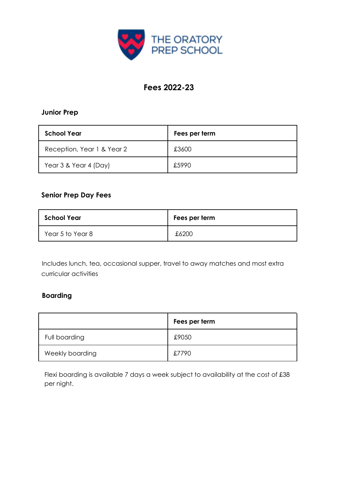

# **Fees 2022-23**

#### **Junior Prep**

| <b>School Year</b>         | Fees per term |
|----------------------------|---------------|
| Reception, Year 1 & Year 2 | £3600         |
| Year 3 & Year 4 (Day)      | £5990         |

### **Senior Prep Day Fees**

| <b>School Year</b> | Fees per term |
|--------------------|---------------|
| Year 5 to Year 8   | £6200         |

Includes lunch, tea, occasional supper, travel to away matches and most extra curricular activities

## **Boarding**

|                 | Fees per term |
|-----------------|---------------|
| Full boarding   | £9050         |
| Weekly boarding | £7790         |

Flexi boarding is available 7 days a week subject to availability at the cost of £38 per night.